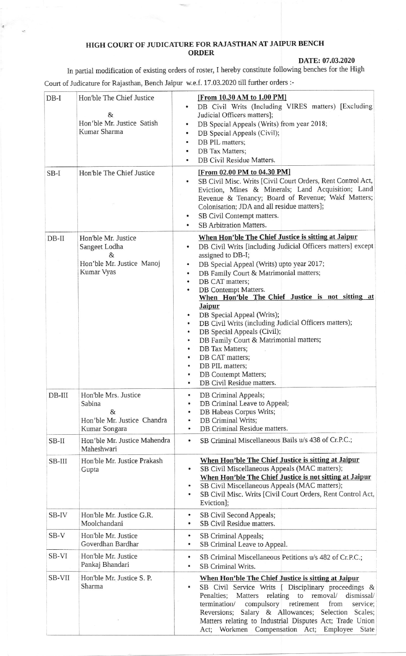## HIGH COURT OF JUDICATURE FOR RAJASTHAN AT JAIPUR BENCH ORDER

 $\epsilon$ 

## DATE:07.03.2020

In partial modification of existing orders of roster, I hereby constitute following benches for the High Court of Judicature for Rajasthan, Bench Jaipur w.e.f. 17.03.2020 till further orders :-

| $DB-I$   | Hon'ble The Chief Justice<br>$\&$<br>Hon'ble Mr. Justice Satish<br>Kumar Sharma      | [From 10.30 AM to 1.00 PM]<br>DB Civil Writs (Including VIRES matters) [Excluding<br>$\bullet$<br>Judicial Officers matters];<br>DB Special Appeals (Writs) from year 2018;<br>$\bullet$<br>DB Special Appeals (Civil);<br>٠<br>DB PIL matters;<br>٠<br>DB Tax Matters;<br>DB Civil Residue Matters.                                                                                                                                                                                                                                                                                                                                                                                                                                             |
|----------|--------------------------------------------------------------------------------------|--------------------------------------------------------------------------------------------------------------------------------------------------------------------------------------------------------------------------------------------------------------------------------------------------------------------------------------------------------------------------------------------------------------------------------------------------------------------------------------------------------------------------------------------------------------------------------------------------------------------------------------------------------------------------------------------------------------------------------------------------|
| $SB-I$   | Hon'ble The Chief Justice                                                            | [From 02.00 PM to 04.30 PM]<br>SB Civil Misc. Writs [Civil Court Orders, Rent Control Act,<br>$\bullet$<br>Eviction, Mines & Minerals; Land Acquisition; Land<br>Revenue & Tenancy; Board of Revenue; Wakf Matters;<br>Colonisation; JDA and all residue matters];<br>SB Civil Contempt matters.<br>SB Arbitration Matters.                                                                                                                                                                                                                                                                                                                                                                                                                      |
| $DB-II$  | Hon'ble Mr. Justice<br>Sangeet Lodha<br>&<br>Hon'ble Mr. Justice Manoj<br>Kumar Vyas | When Hon'ble The Chief Justice is sitting at Jaipur<br>DB Civil Writs [including Judicial Officers matters] except<br>$\bullet$<br>assigned to DB-I;<br>DB Special Appeal (Writs) upto year 2017;<br>$\bullet$<br>DB Family Court & Matrimonial matters;<br>$\bullet$<br>DB CAT matters;<br>DB Contempt Matters.<br>$\bullet$<br>When Hon'ble The Chief Justice is not sitting at<br><b>Jaipur</b><br>DB Special Appeal (Writs);<br>٠<br>DB Civil Writs (including Judicial Officers matters);<br>$\bullet$<br>DB Special Appeals (Civil);<br>$\bullet$<br>DB Family Court & Matrimonial matters;<br>$\bullet$<br>DB Tax Matters;<br>۰<br>DB CAT matters;<br>٠<br>DB PIL matters;<br>DB Contempt Matters;<br>٠<br>DB Civil Residue matters.<br>٠ |
| $DB-III$ | Hon'ble Mrs. Justice<br>Sabina<br>&<br>Hon'ble Mr. Justice Chandra<br>Kumar Songara  | DB Criminal Appeals;<br>$\bullet$<br>DB Criminal Leave to Appeal;<br>۰<br>DB Habeas Corpus Writs;<br>٠<br>DB Criminal Writs;<br>$\bullet$<br>DB Criminal Residue matters.<br>٠                                                                                                                                                                                                                                                                                                                                                                                                                                                                                                                                                                   |
| SB-II    | Hon'ble Mr. Justice Mahendra<br>Maheshwari                                           | SB Criminal Miscellaneous Bails u/s 438 of Cr.P.C.;<br>$\bullet$                                                                                                                                                                                                                                                                                                                                                                                                                                                                                                                                                                                                                                                                                 |
| SB-III   | Hon'ble Mr. Justice Prakash<br>Gupta                                                 | When Hon'ble The Chief Justice is sitting at Jaipur<br>SB Civil Miscellaneous Appeals (MAC matters);<br>$\bullet$<br>When Hon'ble The Chief Justice is not sitting at Jaipur<br>SB Civil Miscellaneous Appeals (MAC matters);<br>٠<br>SB Civil Misc. Writs [Civil Court Orders, Rent Control Act,<br>$\bullet$<br>Eviction];                                                                                                                                                                                                                                                                                                                                                                                                                     |
| SB-IV    | Hon'ble Mr. Justice G.R.<br>Moolchandani                                             | SB Civil Second Appeals;<br>$\bullet$<br>SB Civil Residue matters.<br>$\bullet$                                                                                                                                                                                                                                                                                                                                                                                                                                                                                                                                                                                                                                                                  |
| $SB-V$   | Hon'ble Mr. Justice<br>Goverdhan Bardhar                                             | SB Criminal Appeals;<br>$\bullet$<br>SB Criminal Leave to Appeal.<br>$\bullet$                                                                                                                                                                                                                                                                                                                                                                                                                                                                                                                                                                                                                                                                   |
| SB-VI    | Hon'ble Mr. Justice<br>Pankaj Bhandari                                               | SB Criminal Miscellaneous Petitions u/s 482 of Cr.P.C.;<br>٠<br>SB Criminal Writs.<br>$\bullet$                                                                                                                                                                                                                                                                                                                                                                                                                                                                                                                                                                                                                                                  |
| SB-VII   | Hon'ble Mr. Justice S. P.<br>Sharma                                                  | When Hon'ble The Chief Justice is sitting at Jaipur<br>SB Civil Service Writs [ Disciplinary proceedings &<br>$\bullet$<br>Penalties; Matters relating to removal/<br>dismissal/<br>termination/<br>compulsory retirement<br>from<br>service;<br>Reversions; Salary & Allowances; Selection Scales;<br>Matters relating to Industrial Disputes Act; Trade Union<br>Act; Workmen Compensation Act; Employee<br>State                                                                                                                                                                                                                                                                                                                              |